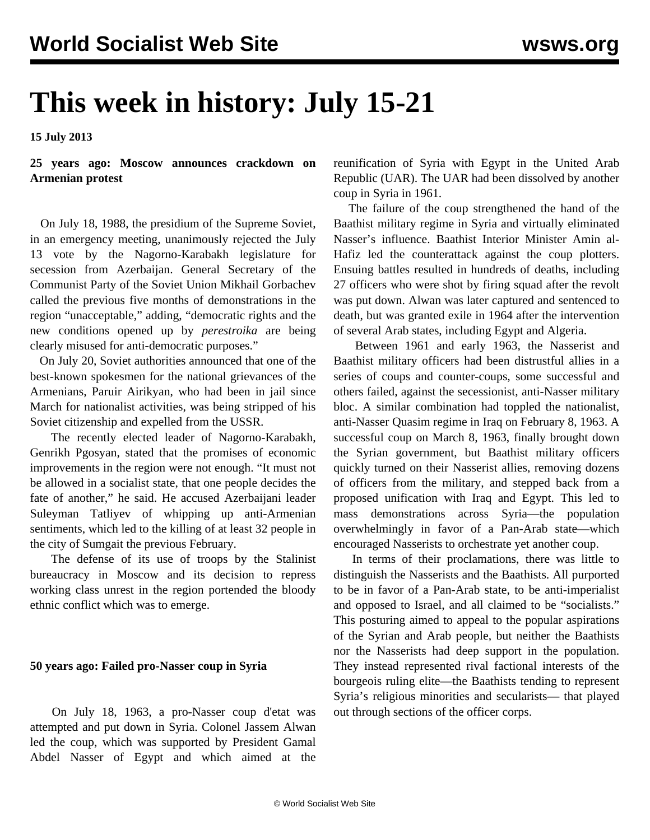# **This week in history: July 15-21**

**15 July 2013**

**25 years ago: Moscow announces crackdown on Armenian protest**

 On July 18, 1988, the presidium of the Supreme Soviet, in an emergency meeting, unanimously rejected the July 13 vote by the Nagorno-Karabakh legislature for secession from Azerbaijan. General Secretary of the Communist Party of the Soviet Union Mikhail Gorbachev called the previous five months of demonstrations in the region "unacceptable," adding, "democratic rights and the new conditions opened up by *perestroika* are being clearly misused for anti-democratic purposes."

 On July 20, Soviet authorities announced that one of the best-known spokesmen for the national grievances of the Armenians, Paruir Airikyan, who had been in jail since March for nationalist activities, was being stripped of his Soviet citizenship and expelled from the USSR.

 The recently elected leader of Nagorno-Karabakh, Genrikh Pgosyan, stated that the promises of economic improvements in the region were not enough. "It must not be allowed in a socialist state, that one people decides the fate of another," he said. He accused Azerbaijani leader Suleyman Tatliyev of whipping up anti-Armenian sentiments, which led to the killing of at least 32 people in the city of Sumgait the previous February.

 The defense of its use of troops by the Stalinist bureaucracy in Moscow and its decision to repress working class unrest in the region portended the bloody ethnic conflict which was to emerge.

#### **50 years ago: Failed pro-Nasser coup in Syria**

 On July 18, 1963, a pro-Nasser coup d'etat was attempted and put down in Syria. Colonel Jassem Alwan led the coup, which was supported by President Gamal Abdel Nasser of Egypt and which aimed at the reunification of Syria with Egypt in the United Arab Republic (UAR). The UAR had been dissolved by another coup in Syria in 1961.

 The failure of the coup strengthened the hand of the Baathist military regime in Syria and virtually eliminated Nasser's influence. Baathist Interior Minister Amin al-Hafiz led the counterattack against the coup plotters. Ensuing battles resulted in hundreds of deaths, including 27 officers who were shot by firing squad after the revolt was put down. Alwan was later captured and sentenced to death, but was granted exile in 1964 after the intervention of several Arab states, including Egypt and Algeria.

 Between 1961 and early 1963, the Nasserist and Baathist military officers had been distrustful allies in a series of coups and counter-coups, some successful and others failed, against the secessionist, anti-Nasser military bloc. A similar combination had toppled the nationalist, anti-Nasser Quasim regime in Iraq on February 8, 1963. A successful coup on March 8, 1963, finally brought down the Syrian government, but Baathist military officers quickly turned on their Nasserist allies, removing dozens of officers from the military, and stepped back from a proposed unification with Iraq and Egypt. This led to mass demonstrations across Syria—the population overwhelmingly in favor of a Pan-Arab state—which encouraged Nasserists to orchestrate yet another coup.

 In terms of their proclamations, there was little to distinguish the Nasserists and the Baathists. All purported to be in favor of a Pan-Arab state, to be anti-imperialist and opposed to Israel, and all claimed to be "socialists." This posturing aimed to appeal to the popular aspirations of the Syrian and Arab people, but neither the Baathists nor the Nasserists had deep support in the population. They instead represented rival factional interests of the bourgeois ruling elite—the Baathists tending to represent Syria's religious minorities and secularists— that played out through sections of the officer corps.